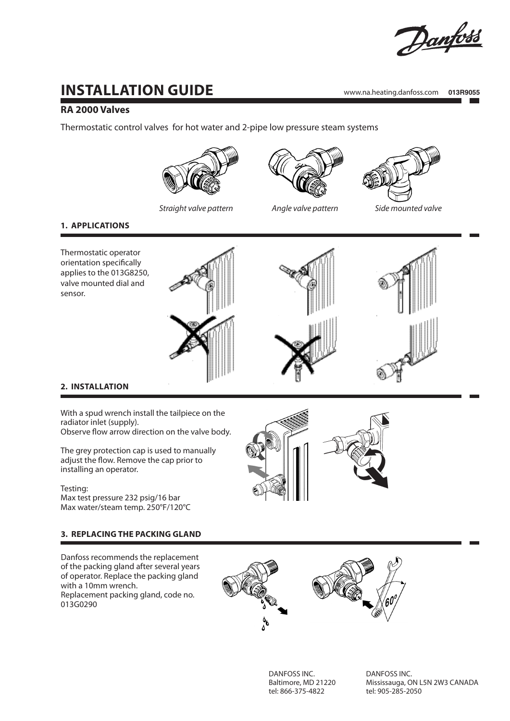

# **Installation Guide**

www.na.heating.danfoss.com **013R9055**

# **RA 2000 Valves**

Thermostatic control valves for hot water and 2-pipe low pressure steam systems







**1. APPLICATIONS**

Thermostatic operator orientation specifically applies to the 013G8250, valve mounted dial and sensor.



# **2. Installation**

With a spud wrench install the tailpiece on the radiator inlet (supply). Observe flow arrow direction on the valve body.

The grey protection cap is used to manually adjust the flow. Remove the cap prior to installing an operator.

#### Testing:

Max test pressure 232 psig/16 bar Max water/steam temp. 250°F/120°C

# **3. REPLACING THE PACKING GLAND**

Danfoss recommends the replacement of the packing gland after several years of operator. Replace the packing gland with a 10mm wrench. Replacement packing gland, code no. 013G0290



DANFOSS INC. Baltimore, MD 21220 tel: 866-375-4822

DANFOSS INC. Mississauga, ON L5N 2W3 CANADA tel: 905-285-2050